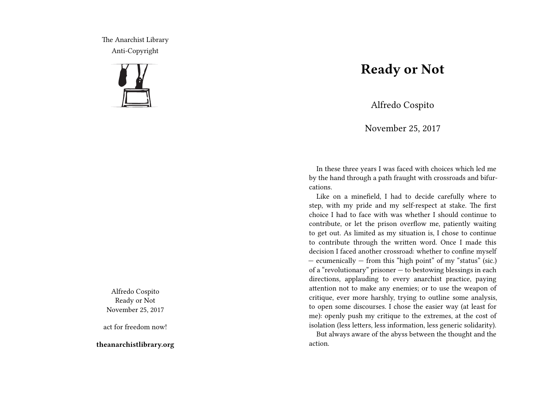The Anarchist Library Anti-Copyright



Alfredo Cospito Ready or Not November 25, 2017

act for freedom now!

**theanarchistlibrary.org**

## **Ready or Not**

Alfredo Cospito

November 25, 2017

In these three years I was faced with choices which led me by the hand through a path fraught with crossroads and bifurcations.

Like on a minefield, I had to decide carefully where to step, with my pride and my self-respect at stake. The first choice I had to face with was whether I should continue to contribute, or let the prison overflow me, patiently waiting to get out. As limited as my situation is, I chose to continue to contribute through the written word. Once I made this decision I faced another crossroad: whether to confine myself — ecumenically — from this "high point" of my "status" (sic.) of a "revolutionary" prisoner — to bestowing blessings in each directions, applauding to every anarchist practice, paying attention not to make any enemies; or to use the weapon of critique, ever more harshly, trying to outline some analysis, to open some discourses. I chose the easier way (at least for me): openly push my critique to the extremes, at the cost of isolation (less letters, less information, less generic solidarity).

But always aware of the abyss between the thought and the action.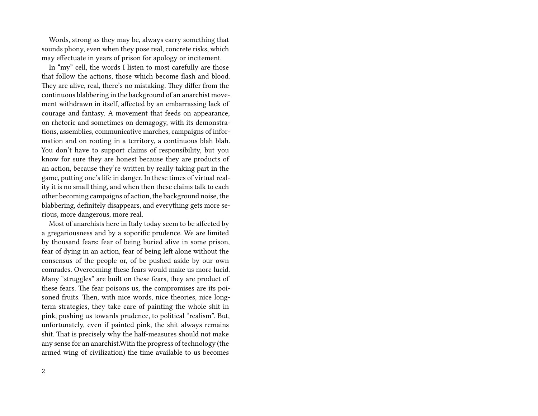Words, strong as they may be, always carry something that sounds phony, even when they pose real, concrete risks, which may effectuate in years of prison for apology or incitement.

In "my" cell, the words I listen to most carefully are those that follow the actions, those which become flash and blood. They are alive, real, there's no mistaking. They differ from the continuous blabbering in the background of an anarchist movement withdrawn in itself, affected by an embarrassing lack of courage and fantasy. A movement that feeds on appearance, on rhetoric and sometimes on demagogy, with its demonstrations, assemblies, communicative marches, campaigns of information and on rooting in a territory, a continuous blah blah. You don't have to support claims of responsibility, but you know for sure they are honest because they are products of an action, because they're written by really taking part in the game, putting one's life in danger. In these times of virtual reality it is no small thing, and when then these claims talk to each other becoming campaigns of action, the background noise, the blabbering, definitely disappears, and everything gets more serious, more dangerous, more real.

Most of anarchists here in Italy today seem to be affected by a gregariousness and by a soporific prudence. We are limited by thousand fears: fear of being buried alive in some prison, fear of dying in an action, fear of being left alone without the consensus of the people or, of be pushed aside by our own comrades. Overcoming these fears would make us more lucid. Many "struggles" are built on these fears, they are product of these fears. The fear poisons us, the compromises are its poisoned fruits. Then, with nice words, nice theories, nice longterm strategies, they take care of painting the whole shit in pink, pushing us towards prudence, to political "realism". But, unfortunately, even if painted pink, the shit always remains shit. That is precisely why the half-measures should not make any sense for an anarchist.With the progress of technology (the armed wing of civilization) the time available to us becomes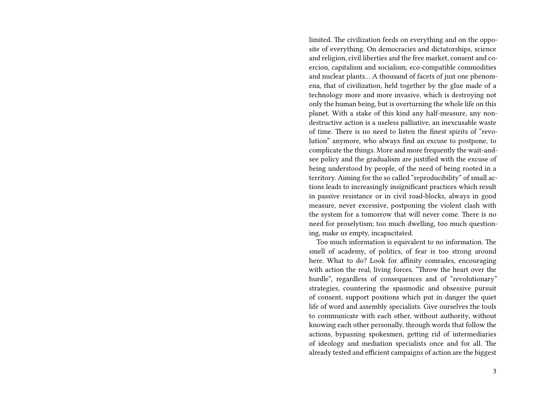limited. The civilization feeds on everything and on the opposite of everything. On democracies and dictatorships, science and religion, civil liberties and the free market, consent and coercion, capitalism and socialism, eco-compatible commodities and nuclear plants… A thousand of facets of just one phenomena, that of civilization, held together by the glue made of a technology more and more invasive, which is destroying not only the human being, but is overturning the whole life on this planet. With a stake of this kind any half-measure, any nondestructive action is a useless palliative, an inexcusable waste of time. There is no need to listen the finest spirits of "revolution" anymore, who always find an excuse to postpone, to complicate the things. More and more frequently the wait-andsee policy and the gradualism are justified with the excuse of being understood by people, of the need of being rooted in a territory. Aiming for the so called "reproducibility" of small actions leads to increasingly insignificant practices which result in passive resistance or in civil road-blocks, always in good measure, never excessive, postponing the violent clash with the system for a tomorrow that will never come. There is no need for proselytism; too much dwelling, too much questioning, make us empty, incapacitated.

Too much information is equivalent to no information. The smell of academy, of politics, of fear is too strong around here. What to do? Look for affinity comrades, encouraging with action the real, living forces. "Throw the heart over the hurdle", regardless of consequences and of "revolutionary" strategies, countering the spasmodic and obsessive pursuit of consent, support positions which put in danger the quiet life of word and assembly specialists. Give ourselves the tools to communicate with each other, without authority, without knowing each other personally, through words that follow the actions, bypassing spokesmen, getting rid of intermediaries of ideology and mediation specialists once and for all. The already tested and efficient campaigns of action are the biggest